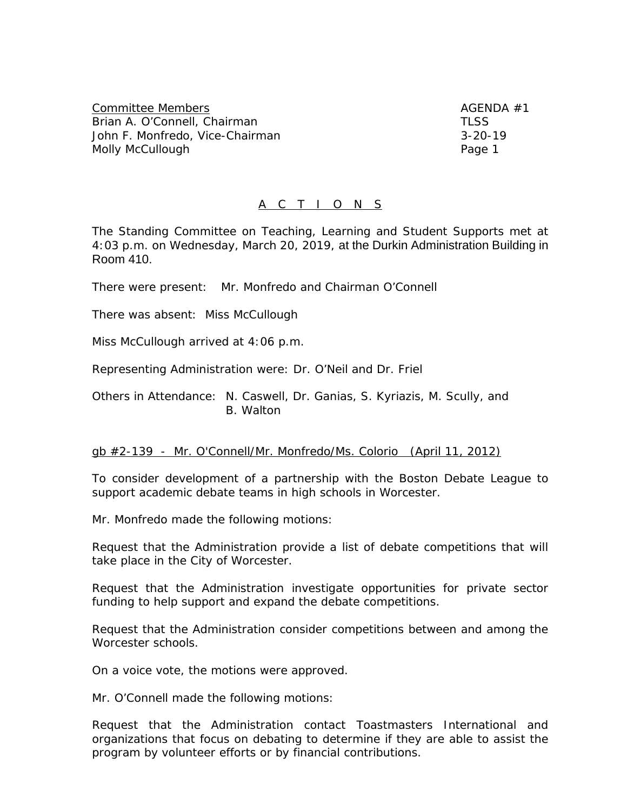Committee Members AGENDA #1 Brian A. O'Connell, Chairman TLSS John F. Monfredo, Vice-Chairman 3-20-19 Molly McCullough Page 1

# A C T I O N S

The Standing Committee on Teaching, Learning and Student Supports met at 4:03 p.m. on Wednesday, March 20, 2019, at the Durkin Administration Building in Room 410.

There were present: Mr. Monfredo and Chairman O'Connell

There was absent: Miss McCullough

Miss McCullough arrived at 4:06 p.m.

Representing Administration were: Dr. O'Neil and Dr. Friel

Others in Attendance: N. Caswell, Dr. Ganias, S. Kyriazis, M. Scully, and B. Walton

#### gb #2-139 - Mr. O'Connell/Mr. Monfredo/Ms. Colorio (April 11, 2012)

To consider development of a partnership with the Boston Debate League to support academic debate teams in high schools in Worcester.

Mr. Monfredo made the following motions:

Request that the Administration provide a list of debate competitions that will take place in the City of Worcester.

Request that the Administration investigate opportunities for private sector funding to help support and expand the debate competitions.

Request that the Administration consider competitions between and among the Worcester schools.

On a voice vote, the motions were approved.

Mr. O'Connell made the following motions:

Request that the Administration contact Toastmasters International and organizations that focus on debating to determine if they are able to assist the program by volunteer efforts or by financial contributions.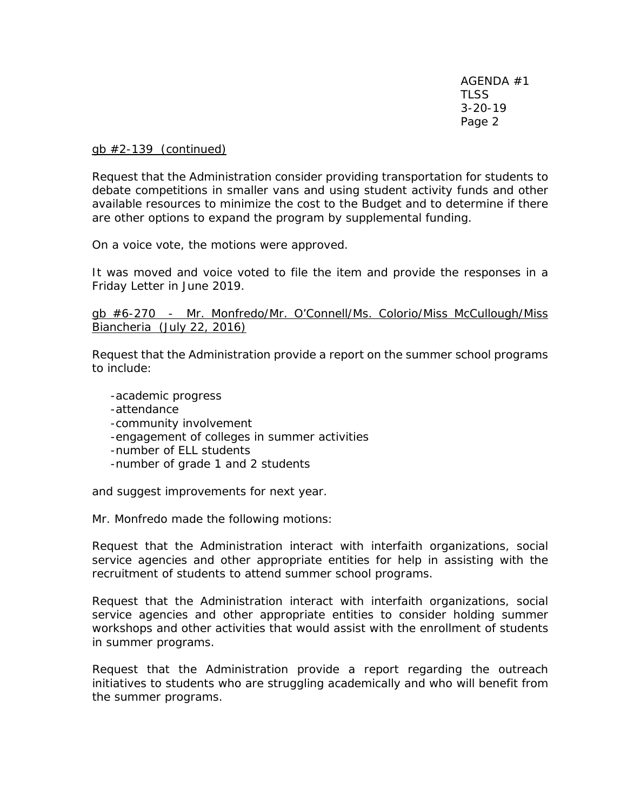gb #2-139 (continued)

Request that the Administration consider providing transportation for students to debate competitions in smaller vans and using student activity funds and other available resources to minimize the cost to the Budget and to determine if there are other options to expand the program by supplemental funding.

On a voice vote, the motions were approved.

It was moved and voice voted to file the item and provide the responses in a Friday Letter in June 2019.

## gb #6-270 - Mr. Monfredo/Mr. O'Connell/Ms. Colorio/Miss McCullough/Miss Biancheria (July 22, 2016)

Request that the Administration provide a report on the summer school programs to include:

-academic progress -attendance -community involvement -engagement of colleges in summer activities -number of ELL students -number of grade 1 and 2 students

and suggest improvements for next year.

Mr. Monfredo made the following motions:

Request that the Administration interact with interfaith organizations, social service agencies and other appropriate entities for help in assisting with the recruitment of students to attend summer school programs.

Request that the Administration interact with interfaith organizations, social service agencies and other appropriate entities to consider holding summer workshops and other activities that would assist with the enrollment of students in summer programs.

Request that the Administration provide a report regarding the outreach initiatives to students who are struggling academically and who will benefit from the summer programs.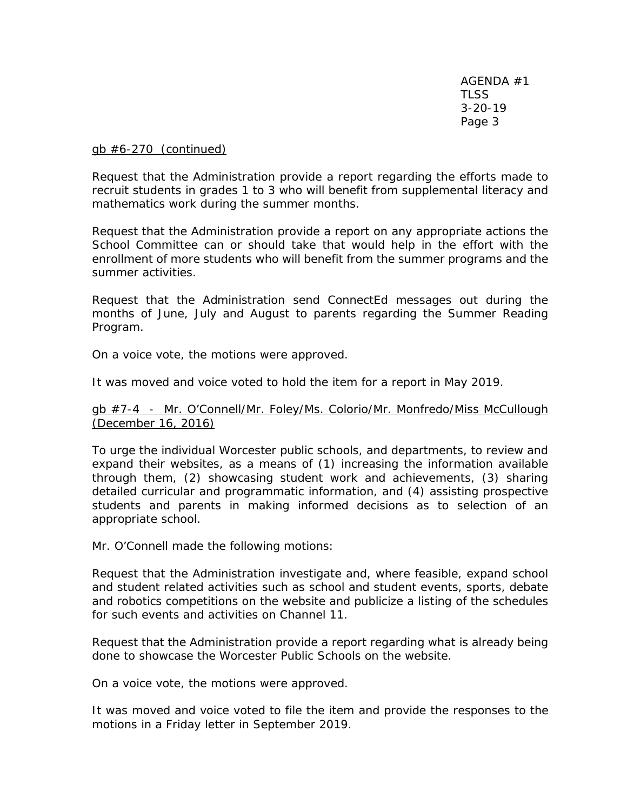### gb #6-270 (continued)

Request that the Administration provide a report regarding the efforts made to recruit students in grades 1 to 3 who will benefit from supplemental literacy and mathematics work during the summer months.

Request that the Administration provide a report on any appropriate actions the School Committee can or should take that would help in the effort with the enrollment of more students who will benefit from the summer programs and the summer activities.

Request that the Administration send ConnectEd messages out during the months of June, July and August to parents regarding the Summer Reading Program.

On a voice vote, the motions were approved.

It was moved and voice voted to hold the item for a report in May 2019.

## gb #7-4 - Mr. O'Connell/Mr. Foley/Ms. Colorio/Mr. Monfredo/Miss McCullough (December 16, 2016)

To urge the individual Worcester public schools, and departments, to review and expand their websites, as a means of (1) increasing the information available through them, (2) showcasing student work and achievements, (3) sharing detailed curricular and programmatic information, and (4) assisting prospective students and parents in making informed decisions as to selection of an appropriate school.

Mr. O'Connell made the following motions:

Request that the Administration investigate and, where feasible, expand school and student related activities such as school and student events, sports, debate and robotics competitions on the website and publicize a listing of the schedules for such events and activities on Channel 11.

Request that the Administration provide a report regarding what is already being done to showcase the Worcester Public Schools on the website.

On a voice vote, the motions were approved.

It was moved and voice voted to file the item and provide the responses to the motions in a Friday letter in September 2019.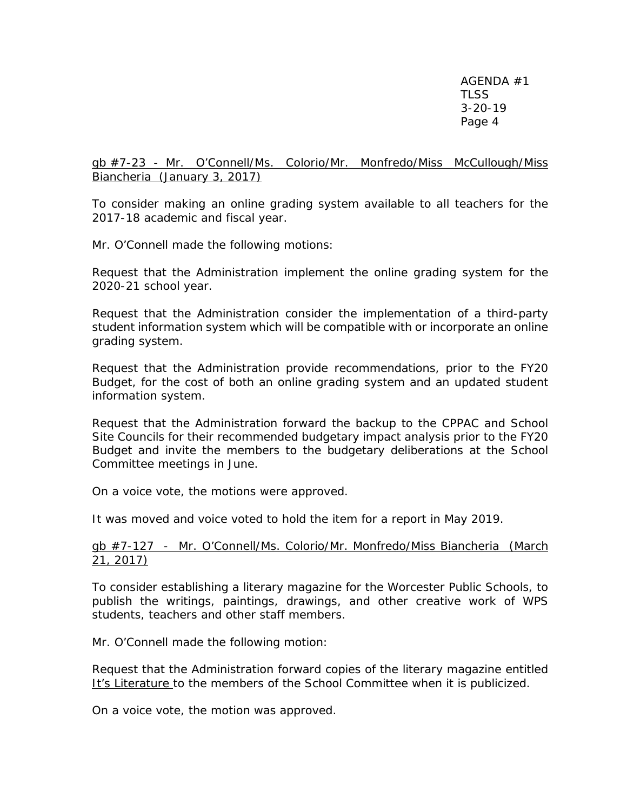gb #7-23 - Mr. O'Connell/Ms. Colorio/Mr. Monfredo/Miss McCullough/Miss Biancheria (January 3, 2017)

To consider making an online grading system available to all teachers for the 2017-18 academic and fiscal year.

Mr. O'Connell made the following motions:

Request that the Administration implement the online grading system for the 2020-21 school year.

Request that the Administration consider the implementation of a third-party student information system which will be compatible with or incorporate an online grading system.

Request that the Administration provide recommendations, prior to the FY20 Budget, for the cost of both an online grading system and an updated student information system.

Request that the Administration forward the backup to the CPPAC and School Site Councils for their recommended budgetary impact analysis prior to the FY20 Budget and invite the members to the budgetary deliberations at the School Committee meetings in June.

On a voice vote, the motions were approved.

It was moved and voice voted to hold the item for a report in May 2019.

### gb #7-127 - Mr. O'Connell/Ms. Colorio/Mr. Monfredo/Miss Biancheria (March 21, 2017)

To consider establishing a literary magazine for the Worcester Public Schools, to publish the writings, paintings, drawings, and other creative work of WPS students, teachers and other staff members.

Mr. O'Connell made the following motion:

Request that the Administration forward copies of the literary magazine entitled It's Literature to the members of the School Committee when it is publicized.

On a voice vote, the motion was approved.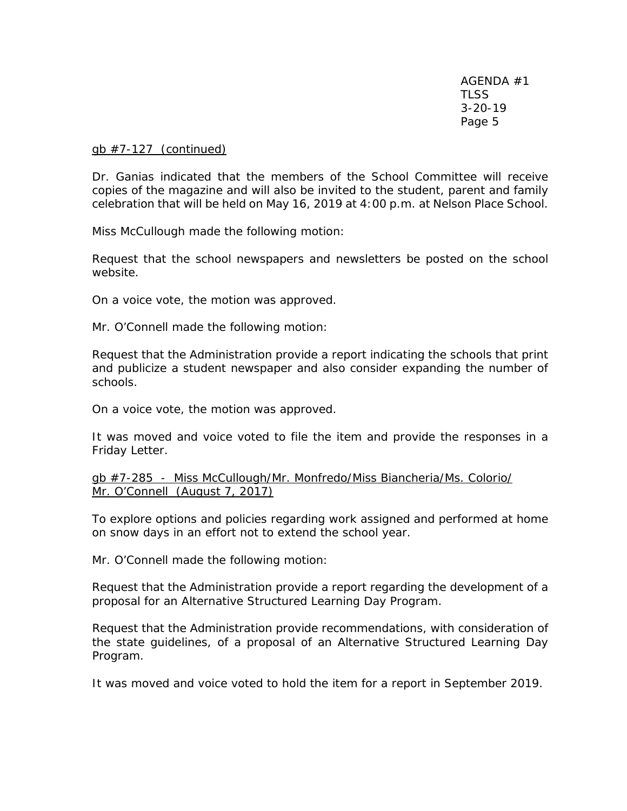### gb #7-127 (continued)

Dr. Ganias indicated that the members of the School Committee will receive copies of the magazine and will also be invited to the student, parent and family celebration that will be held on May 16, 2019 at 4:00 p.m. at Nelson Place School.

Miss McCullough made the following motion:

Request that the school newspapers and newsletters be posted on the school website.

On a voice vote, the motion was approved.

Mr. O'Connell made the following motion:

Request that the Administration provide a report indicating the schools that print and publicize a student newspaper and also consider expanding the number of schools.

On a voice vote, the motion was approved.

It was moved and voice voted to file the item and provide the responses in a Friday Letter.

gb #7-285 - Miss McCullough/Mr. Monfredo/Miss Biancheria/Ms. Colorio/ Mr. O'Connell (August 7, 2017)

To explore options and policies regarding work assigned and performed at home on snow days in an effort not to extend the school year.

Mr. O'Connell made the following motion:

Request that the Administration provide a report regarding the development of a proposal for an Alternative Structured Learning Day Program.

Request that the Administration provide recommendations, with consideration of the state guidelines, of a proposal of an Alternative Structured Learning Day Program.

It was moved and voice voted to hold the item for a report in September 2019.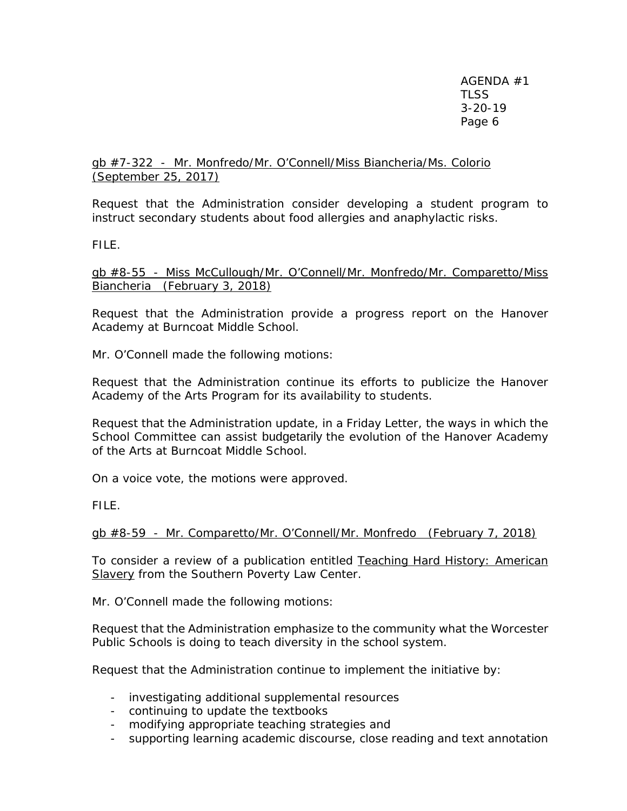# gb #7-322 - Mr. Monfredo/Mr. O'Connell/Miss Biancheria/Ms. Colorio (September 25, 2017)

Request that the Administration consider developing a student program to instruct secondary students about food allergies and anaphylactic risks.

FILE.

gb #8-55 - Miss McCullough/Mr. O'Connell/Mr. Monfredo/Mr. Comparetto/Miss Biancheria (February 3, 2018)

Request that the Administration provide a progress report on the Hanover Academy at Burncoat Middle School.

Mr. O'Connell made the following motions:

Request that the Administration continue its efforts to publicize the Hanover Academy of the Arts Program for its availability to students.

Request that the Administration update, in a Friday Letter, the ways in which the School Committee can assist budgetarily the evolution of the Hanover Academy of the Arts at Burncoat Middle School.

On a voice vote, the motions were approved.

FILE.

gb #8-59 - Mr. Comparetto/Mr. O'Connell/Mr. Monfredo (February 7, 2018)

To consider a review of a publication entitled Teaching Hard History: American Slavery from the Southern Poverty Law Center.

Mr. O'Connell made the following motions:

Request that the Administration emphasize to the community what the Worcester Public Schools is doing to teach diversity in the school system.

Request that the Administration continue to implement the initiative by:

- investigating additional supplemental resources
- continuing to update the textbooks
- modifying appropriate teaching strategies and
- supporting learning academic discourse, close reading and text annotation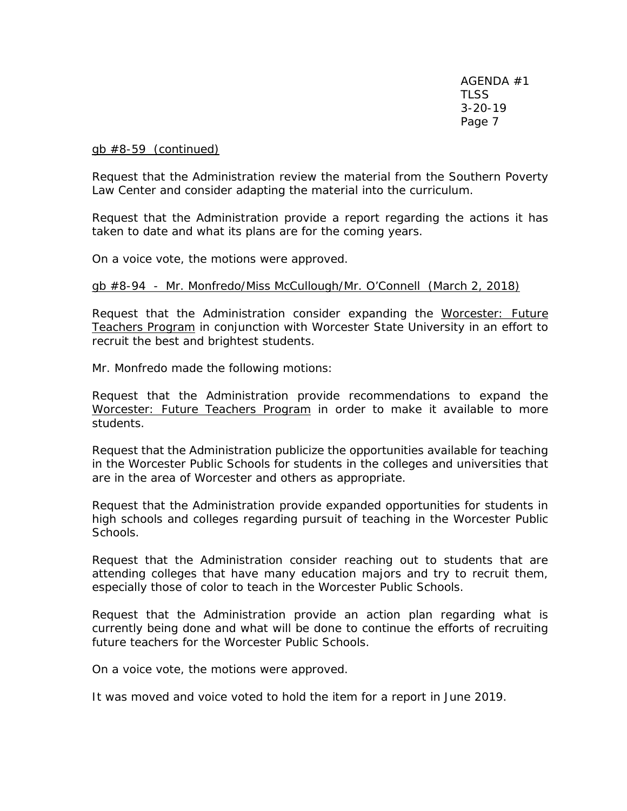gb #8-59 (continued)

Request that the Administration review the material from the Southern Poverty Law Center and consider adapting the material into the curriculum.

Request that the Administration provide a report regarding the actions it has taken to date and what its plans are for the coming years.

On a voice vote, the motions were approved.

### gb #8-94 - Mr. Monfredo/Miss McCullough/Mr. O'Connell (March 2, 2018)

Request that the Administration consider expanding the Worcester: Future Teachers Program in conjunction with Worcester State University in an effort to recruit the best and brightest students.

Mr. Monfredo made the following motions:

Request that the Administration provide recommendations to expand the Worcester: Future Teachers Program in order to make it available to more students.

Request that the Administration publicize the opportunities available for teaching in the Worcester Public Schools for students in the colleges and universities that are in the area of Worcester and others as appropriate.

Request that the Administration provide expanded opportunities for students in high schools and colleges regarding pursuit of teaching in the Worcester Public Schools.

Request that the Administration consider reaching out to students that are attending colleges that have many education majors and try to recruit them, especially those of color to teach in the Worcester Public Schools.

Request that the Administration provide an action plan regarding what is currently being done and what will be done to continue the efforts of recruiting future teachers for the Worcester Public Schools.

On a voice vote, the motions were approved.

It was moved and voice voted to hold the item for a report in June 2019.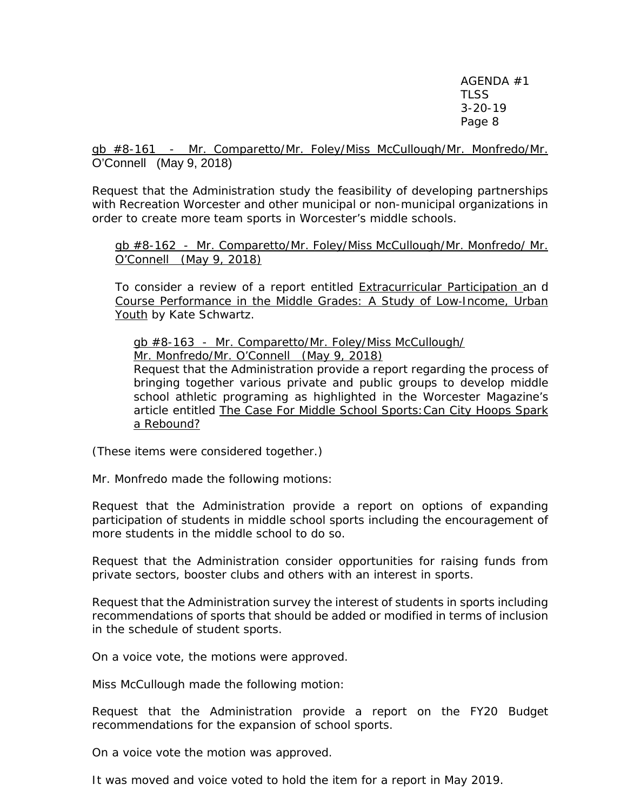gb #8-161 - Mr. Comparetto/Mr. Foley/Miss McCullough/Mr. Monfredo/Mr. O'Connell (May 9, 2018)

Request that the Administration study the feasibility of developing partnerships with Recreation Worcester and other municipal or non-municipal organizations in order to create more team sports in Worcester's middle schools.

gb #8-162 - Mr. Comparetto/Mr. Foley/Miss McCullough/Mr. Monfredo/ Mr. O'Connell (May 9, 2018)

To consider a review of a report entitled Extracurricular Participation an d Course Performance in the Middle Grades: A Study of Low‐Income, Urban Youth by Kate Schwartz.

gb #8-163 - Mr. Comparetto/Mr. Foley/Miss McCullough/ Mr. Monfredo/Mr. O'Connell (May 9, 2018)

Request that the Administration provide a report regarding the process of bringing together various private and public groups to develop middle school athletic programing as highlighted in the Worcester Magazine's article entitled The Case For Middle School Sports:Can City Hoops Spark a Rebound?

(These items were considered together.)

Mr. Monfredo made the following motions:

Request that the Administration provide a report on options of expanding participation of students in middle school sports including the encouragement of more students in the middle school to do so.

Request that the Administration consider opportunities for raising funds from private sectors, booster clubs and others with an interest in sports.

Request that the Administration survey the interest of students in sports including recommendations of sports that should be added or modified in terms of inclusion in the schedule of student sports.

On a voice vote, the motions were approved.

Miss McCullough made the following motion:

Request that the Administration provide a report on the FY20 Budget recommendations for the expansion of school sports.

On a voice vote the motion was approved.

It was moved and voice voted to hold the item for a report in May 2019.